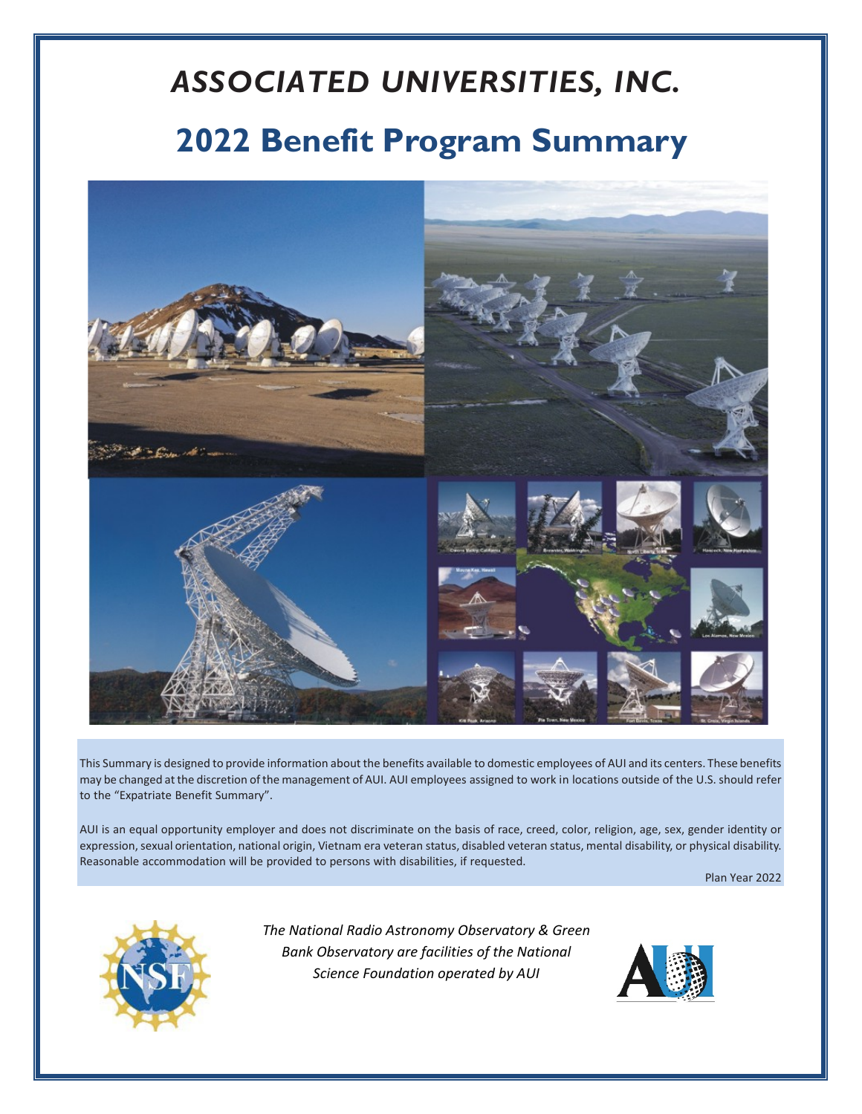# *ASSOCIATED UNIVERSITIES, INC.* **2022 Benefit Program Summary**



This Summary is designed to provide information about the benefits available to domestic employees of AUI and its centers. These benefits may be changed atthe discretion of the management of AUI. AUI employees assigned to work in locations outside of the U.S. should refer to the "Expatriate Benefit Summary".

AUI is an equal opportunity employer and does not discriminate on the basis of race, creed, color, religion, age, sex, gender identity or expression, sexual orientation, national origin, Vietnam era veteran status, disabled veteran status, mental disability, or physical disability. Reasonable accommodation will be provided to persons with disabilities, if requested.

Plan Year 2022



*The National Radio Astronomy Observatory & Green Bank Observatory are facilities of the National Science Foundation operated by AUI*

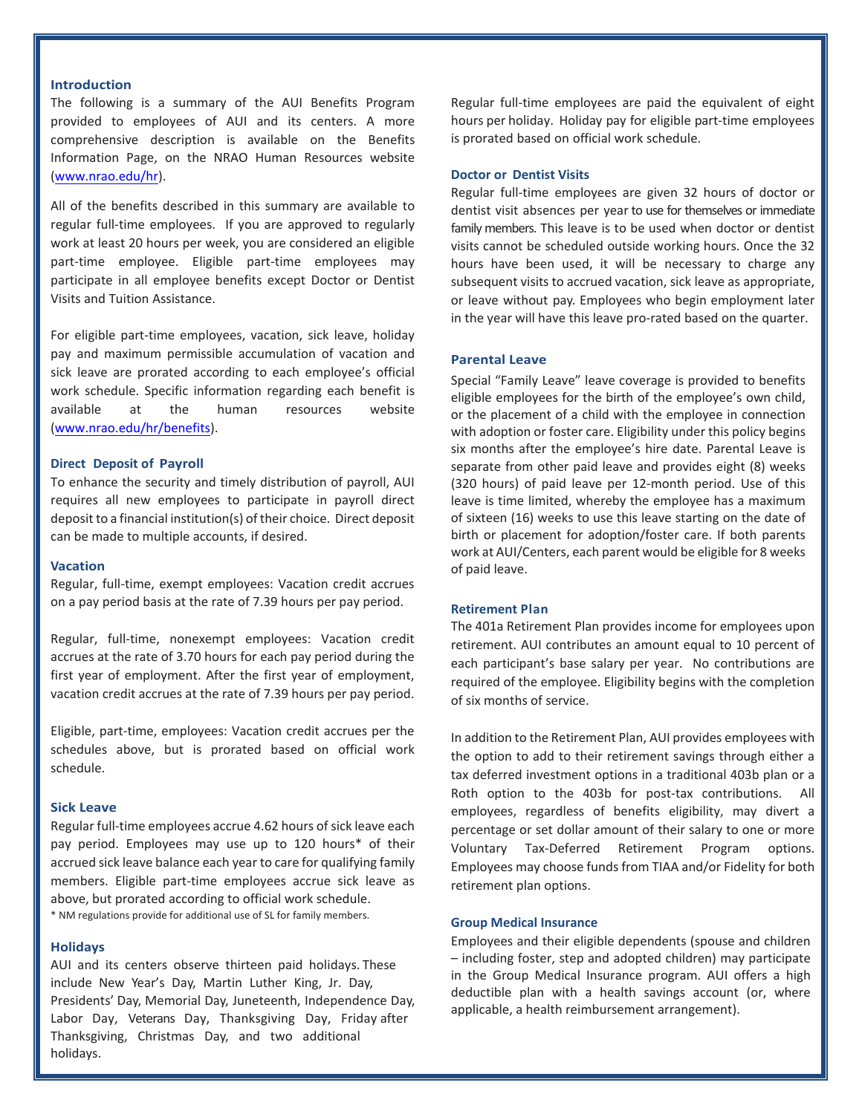# **Introduction**

The following is a summary of the AUI Benefits Program provided to employees of AUI and its centers. A more comprehensive description is available on the Benefits Information Page, on the NRAO Human Resources website [\(www.nrao.edu/hr\).](http://www.nrao.edu/hr)

All of the benefits described in this summary are available to regular full-time employees. If you are approved to regularly work at least 20 hours per week, you are considered an eligible part-time employee. Eligible part-time employees may participate in all employee benefits except Doctor or Dentist Visits and Tuition Assistance.

For eligible part-time employees, vacation, sick leave, holiday pay and maximum permissible accumulation of vacation and sick leave are prorated according to each employee's official work schedule. Specific information regarding each benefit is available at the human resources website [\(www.nrao.edu/hr/benefits\)](http://www.nrao.edu/hr/benefits).

# **Direct Deposit of Payroll**

To enhance the security and timely distribution of payroll, AUI requires all new employees to participate in payroll direct deposit to a financial institution(s) of their choice. Direct deposit can be made to multiple accounts, if desired.

#### **Vacation**

Regular, full-time, exempt employees: Vacation credit accrues on a pay period basis at the rate of 7.39 hours per pay period.

Regular, full-time, nonexempt employees: Vacation credit accrues at the rate of 3.70 hours for each pay period during the first year of employment. After the first year of employment, vacation credit accrues at the rate of 7.39 hours per pay period.

Eligible, part-time, employees: Vacation credit accrues per the schedules above, but is prorated based on official work schedule.

# **Sick Leave**

Regular full-time employees accrue 4.62 hours of sick leave each pay period. Employees may use up to 120 hours\* of their accrued sick leave balance each year to care for qualifying family members. Eligible part-time employees accrue sick leave as above, but prorated according to official work schedule. \* NM regulations provide for additional use of SL for family members.

#### **Holidays**

AUI and its centers observe thirteen paid holidays. These include New Year's Day, Martin Luther King, Jr. Day, Presidents' Day, Memorial Day, Juneteenth, Independence Day, Labor Day, Veterans Day, Thanksgiving Day, Friday after Thanksgiving, Christmas Day, and two additional holidays.

Regular full-time employees are paid the equivalent of eight hours per holiday. Holiday pay for eligible part-time employees is prorated based on official work schedule.

## **Doctor or Dentist Visits**

Regular full-time employees are given 32 hours of doctor or dentist visit absences per year to use for themselves or immediate family members. This leave is to be used when doctor or dentist visits cannot be scheduled outside working hours. Once the 32 hours have been used, it will be necessary to charge any subsequent visits to accrued vacation, sick leave as appropriate, or leave without pay. Employees who begin employment later in the year will have this leave pro-rated based on the quarter.

#### **Parental Leave**

Special "Family Leave" leave coverage is provided to benefits eligible employees for the birth of the employee's own child, or the placement of a child with the employee in connection with adoption or foster care. Eligibility under this policy begins six months after the employee's hire date. Parental Leave is separate from other paid leave and provides eight (8) weeks (320 hours) of paid leave per 12-month period. Use of this leave is time limited, whereby the employee has a maximum of sixteen (16) weeks to use this leave starting on the date of birth or placement for adoption/foster care. If both parents work at AUI/Centers, each parent would be eligible for 8 weeks of paid leave.

#### **Retirement Plan**

The 401a Retirement Plan provides income for employees upon retirement. AUI contributes an amount equal to 10 percent of each participant's base salary per year. No contributions are required of the employee. Eligibility begins with the completion of six months of service.

In addition to the Retirement Plan, AUI provides employees with the option to add to their retirement savings through either a tax deferred investment options in a traditional 403b plan or a Roth option to the 403b for post-tax contributions. All employees, regardless of benefits eligibility, may divert a percentage or set dollar amount of their salary to one or more Voluntary Tax-Deferred Retirement Program options. Employees may choose funds from TIAA and/or Fidelity for both retirement plan options.

#### **Group Medical Insurance**

Employees and their eligible dependents (spouse and children – including foster, step and adopted children) may participate in the Group Medical Insurance program. AUI offers a high deductible plan with a health savings account (or, where applicable, a health reimbursement arrangement).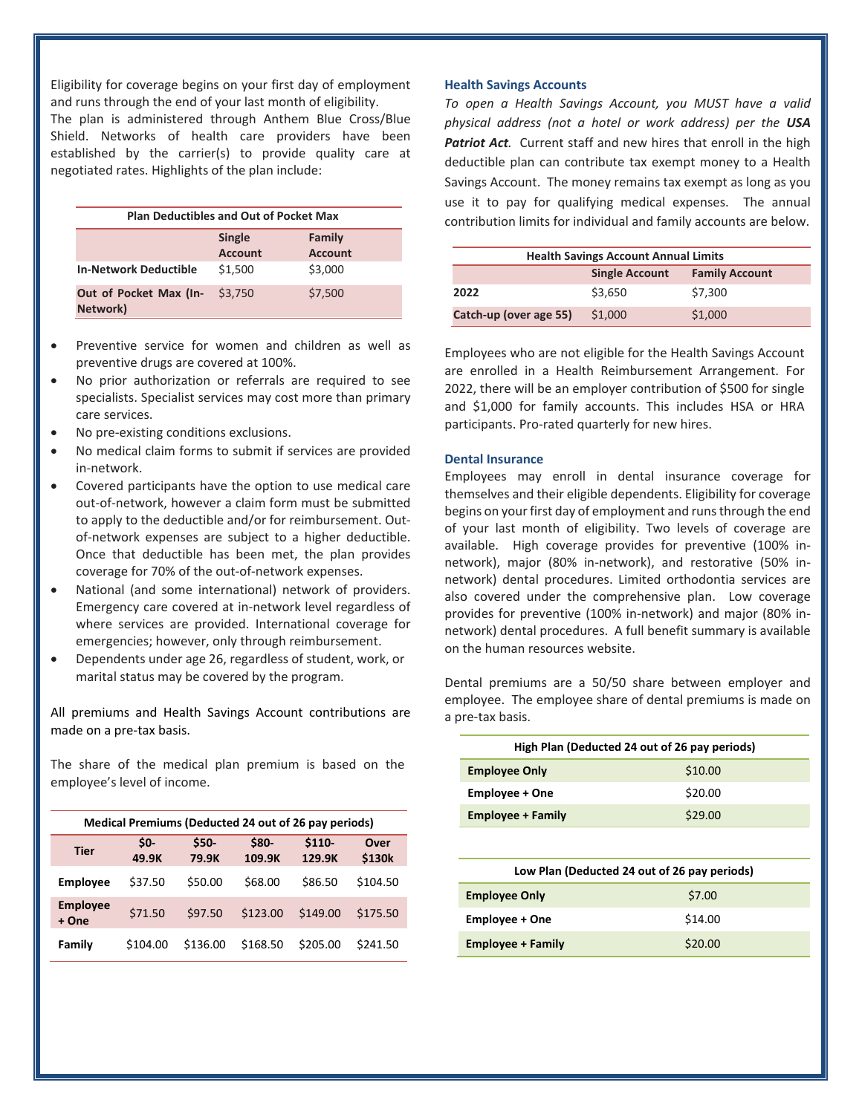Eligibility for coverage begins on your first day of employment and runs through the end of your last month of eligibility. The plan is administered through Anthem Blue Cross/Blue Shield. Networks of health care providers have been established by the carrier(s) to provide quality care at negotiated rates. Highlights of the plan include:

| <b>Plan Deductibles and Out of Pocket Max</b> |                          |                   |  |  |
|-----------------------------------------------|--------------------------|-------------------|--|--|
|                                               | <b>Single</b><br>Account | Family<br>Account |  |  |
| <b>In-Network Deductible</b>                  | \$1,500                  | \$3,000           |  |  |
| Out of Pocket Max (In-<br>Network)            | \$3.750                  | \$7,500           |  |  |

- Preventive service for women and children as well as preventive drugs are covered at 100%.
- No prior authorization or referrals are required to see specialists. Specialist services may cost more than primary care services.
- No pre-existing conditions exclusions.
- No medical claim forms to submit if services are provided in-network.
- Covered participants have the option to use medical care out-of-network, however a claim form must be submitted to apply to the deductible and/or for reimbursement. Outof-network expenses are subject to a higher deductible. Once that deductible has been met, the plan provides coverage for 70% of the out-of-network expenses.
- National (and some international) network of providers. Emergency care covered at in-network level regardless of where services are provided. International coverage for emergencies; however, only through reimbursement.
- Dependents under age 26, regardless of student, work, or marital status may be covered by the program.

All premiums and Health Savings Account contributions are made on a pre-tax basis.

The share of the medical plan premium is based on the employee's level of income.

| Medical Premiums (Deducted 24 out of 26 pay periods) |                |                 |                 |                   |                |
|------------------------------------------------------|----------------|-----------------|-----------------|-------------------|----------------|
| <b>Tier</b>                                          | $50-$<br>49.9K | $$50-$<br>79.9K | \$80-<br>109.9K | $$110-$<br>129.9K | Over<br>\$130k |
| <b>Employee</b>                                      | \$37.50        | \$50.00         | \$68.00         | \$86.50           | \$104.50       |
| <b>Employee</b><br>+ One                             | \$71.50        | \$97.50         | \$123.00        | \$149.00          | \$175.50       |
| Family                                               | \$104.00       | \$136.00        | \$168.50        | \$205.00          | \$241.50       |

# **Health Savings Accounts**

*To open a Health Savings Account, you MUST have a valid physical address (not a hotel or work address) per the USA*  **Patriot Act**. Current staff and new hires that enroll in the high deductible plan can contribute tax exempt money to a Health Savings Account. The money remains tax exempt as long as you use it to pay for qualifying medical expenses. The annual contribution limits for individual and family accounts are below.

| <b>Health Savings Account Annual Limits</b> |                       |                       |  |  |
|---------------------------------------------|-----------------------|-----------------------|--|--|
|                                             | <b>Single Account</b> | <b>Family Account</b> |  |  |
| 2022                                        | \$3.650               | \$7.300               |  |  |
| Catch-up (over age 55)                      | \$1,000               | \$1,000               |  |  |

Employees who are not eligible for the Health Savings Account are enrolled in a Health Reimbursement Arrangement. For 2022, there will be an employer contribution of \$500 for single and \$1,000 for family accounts. This includes HSA or HRA participants. Pro-rated quarterly for new hires.

### **Dental Insurance**

Employees may enroll in dental insurance coverage for themselves and their eligible dependents. Eligibility for coverage begins on your first day of employment and runs through the end of your last month of eligibility. Two levels of coverage are available. High coverage provides for preventive (100% innetwork), major (80% in-network), and restorative (50% innetwork) dental procedures. Limited orthodontia services are also covered under the comprehensive plan. Low coverage provides for preventive (100% in-network) and major (80% innetwork) dental procedures. A full benefit summary is available on the human resources website.

Dental premiums are a 50/50 share between employer and employee. The employee share of dental premiums is made on a pre-tax basis.

| High Plan (Deducted 24 out of 26 pay periods) |         |  |  |  |
|-----------------------------------------------|---------|--|--|--|
| <b>Employee Only</b>                          | \$10.00 |  |  |  |
| Employee + One                                | \$20.00 |  |  |  |
| <b>Employee + Family</b>                      | \$29.00 |  |  |  |
|                                               |         |  |  |  |
| Low Plan (Deducted 24 out of 26 pay periods)  |         |  |  |  |
| <b>Employee Only</b>                          | \$7.00  |  |  |  |
| <b>Employee + One</b>                         | \$14.00 |  |  |  |
| Employee + Family                             | \$20.00 |  |  |  |